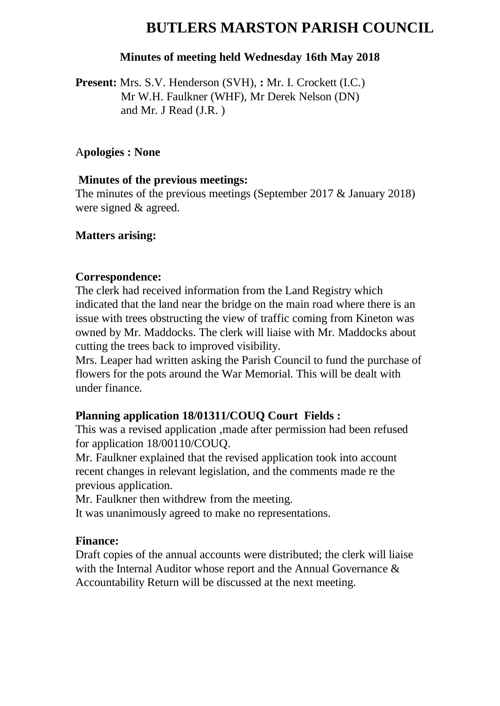# **BUTLERS MARSTON PARISH COUNCIL**

### **Minutes of meeting held Wednesday 16th May 2018**

**Present:** Mrs. S.V. Henderson (SVH), **:** Mr. I. Crockett (I.C.) Mr W.H. Faulkner (WHF), Mr Derek Nelson (DN) and Mr. J Read (J.R. )

#### A**pologies : None**

### **Minutes of the previous meetings:**

The minutes of the previous meetings (September 2017 & January 2018) were signed & agreed.

### **Matters arising:**

### **Correspondence:**

The clerk had received information from the Land Registry which indicated that the land near the bridge on the main road where there is an issue with trees obstructing the view of traffic coming from Kineton was owned by Mr. Maddocks. The clerk will liaise with Mr. Maddocks about cutting the trees back to improved visibility.

Mrs. Leaper had written asking the Parish Council to fund the purchase of flowers for the pots around the War Memorial. This will be dealt with under finance.

## **Planning application 18/01311/COUQ Court Fields :**

This was a revised application ,made after permission had been refused for application 18/00110/COUQ.

Mr. Faulkner explained that the revised application took into account recent changes in relevant legislation, and the comments made re the previous application.

Mr. Faulkner then withdrew from the meeting.

It was unanimously agreed to make no representations.

#### **Finance:**

Draft copies of the annual accounts were distributed; the clerk will liaise with the Internal Auditor whose report and the Annual Governance & Accountability Return will be discussed at the next meeting.